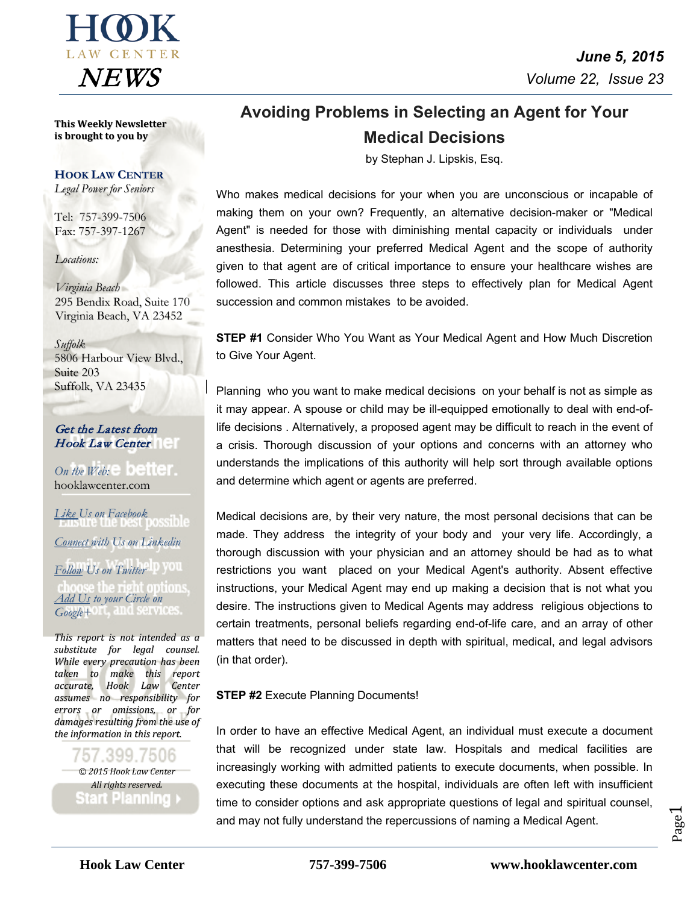

**This Weekly Newsletter is brought to you by**

### **HOOK LAW CENTER**

*Legal Power for Seniors*

Tel: 757-399-7506 Fax: 757-397-1267

*Locations:*

*Virginia Beach* 295 Bendix Road, Suite 170 Virginia Beach, VA 23452

*Suffolk*

5806 Harbour View Blvd., Suite 203 Suffolk, VA 23435

Get the Latest from Hook Law Center

*On the*  $Web: \mathbb{R}$  **Defined**. [hooklawcenter.com](http://www.hooklawcenter.com/)

*Like Us on Facebook Connect with Us on Linkedin Follow Us on Twitter* choose the right options *Add Us to your Circle on Google+*

*This report is not intended as a substitute for legal counsel. While every precaution has been taken to make this report accurate, Hook Law Center assumes no responsibility for errors or omissions, or for damages resulting from the use of the information in this report.*

399 7506 *© 2015 Hook Law Center All rights reserved.* **Start Planning** 

*June 5, 2015*  $NFWS$  *Volume 22, Issue 23* 

# **Avoiding Problems in Selecting an Agent for Your Medical Decisions**

by Stephan J. Lipskis, Esq.

Who makes medical decisions for your when you are unconscious or incapable of making them on your own? Frequently, an alternative decision-maker or "Medical Agent" is needed for those with diminishing mental capacity or individuals under anesthesia. Determining your preferred Medical Agent and the scope of authority given to that agent are of critical importance to ensure your healthcare wishes are followed. This article discusses three steps to effectively plan for Medical Agent succession and common mistakes to be avoided.

**STEP #1** Consider Who You Want as Your Medical Agent and How Much Discretion to Give Your Agent.

Planning who you want to make medical decisions on your behalf is not as simple as it may appear. A spouse or child may be ill-equipped emotionally to deal with end-oflife decisions . Alternatively, a proposed agent may be difficult to reach in the event of a crisis. Thorough discussion of your options and concerns with an attorney who understands the implications of this authority will help sort through available options and determine which agent or agents are preferred.

Medical decisions are, by their very nature, the most personal decisions that can be made. They address the integrity of your body and your very life. Accordingly, a thorough discussion with your physician and an attorney should be had as to what restrictions you want placed on your Medical Agent's authority. Absent effective instructions, your Medical Agent may end up making a decision that is not what you desire. The instructions given to Medical Agents may address religious objections to certain treatments, personal beliefs regarding end-of-life care, and an array of other matters that need to be discussed in depth with spiritual, medical, and legal advisors (in that order).

**STEP #2** Execute Planning Documents!

In order to have an effective Medical Agent, an individual must execute a document that will be recognized under state law. Hospitals and medical facilities are increasingly working with admitted patients to execute documents, when possible. In executing these documents at the hospital, individuals are often left with insufficient time to consider options and ask appropriate questions of legal and spiritual counsel, and may not fully understand the repercussions of naming a Medical Agent.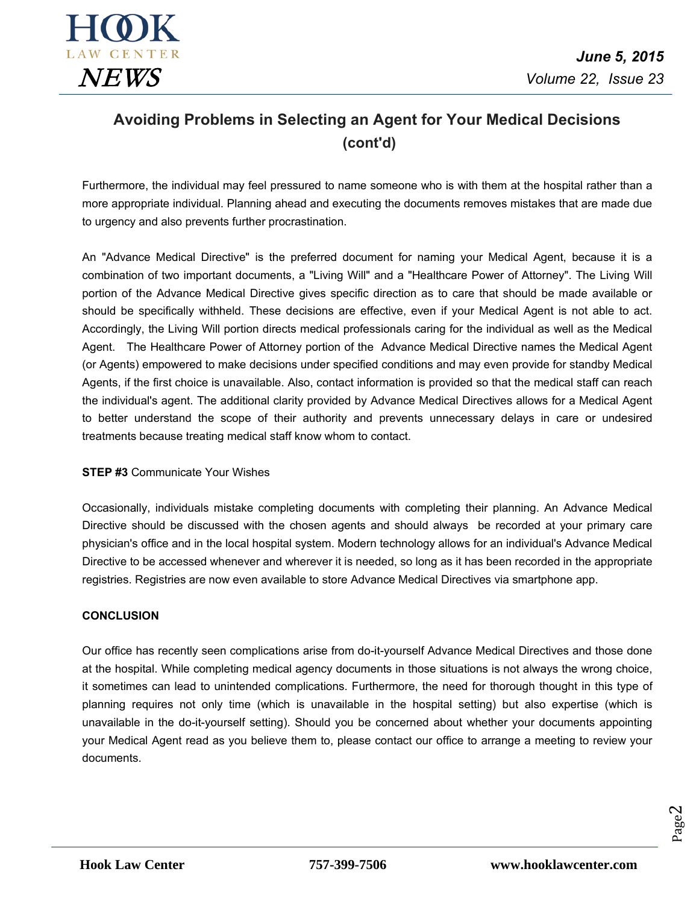

# **Avoiding Problems in Selecting an Agent for Your Medical Decisions (cont'd)**

Furthermore, the individual may feel pressured to name someone who is with them at the hospital rather than a more appropriate individual. Planning ahead and executing the documents removes mistakes that are made due to urgency and also prevents further procrastination.

An "Advance Medical Directive" is the preferred document for naming your Medical Agent, because it is a combination of two important documents, a "Living Will" and a "Healthcare Power of Attorney". The Living Will portion of the Advance Medical Directive gives specific direction as to care that should be made available or should be specifically withheld. These decisions are effective, even if your Medical Agent is not able to act. Accordingly, the Living Will portion directs medical professionals caring for the individual as well as the Medical Agent. The Healthcare Power of Attorney portion of the Advance Medical Directive names the Medical Agent (or Agents) empowered to make decisions under specified conditions and may even provide for standby Medical Agents, if the first choice is unavailable. Also, contact information is provided so that the medical staff can reach the individual's agent. The additional clarity provided by Advance Medical Directives allows for a Medical Agent to better understand the scope of their authority and prevents unnecessary delays in care or undesired treatments because treating medical staff know whom to contact.

### **STEP #3** Communicate Your Wishes

Occasionally, individuals mistake completing documents with completing their planning. An Advance Medical Directive should be discussed with the chosen agents and should always be recorded at your primary care physician's office and in the local hospital system. Modern technology allows for an individual's Advance Medical Directive to be accessed whenever and wherever it is needed, so long as it has been recorded in the appropriate registries. Registries are now even available to store Advance Medical Directives via smartphone app.

### **CONCLUSION**

Our office has recently seen complications arise from do-it-yourself Advance Medical Directives and those done at the hospital. While completing medical agency documents in those situations is not always the wrong choice, it sometimes can lead to unintended complications. Furthermore, the need for thorough thought in this type of planning requires not only time (which is unavailable in the hospital setting) but also expertise (which is unavailable in the do-it-yourself setting). Should you be concerned about whether your documents appointing your Medical Agent read as you believe them to, please contact our office to arrange a meeting to review your documents.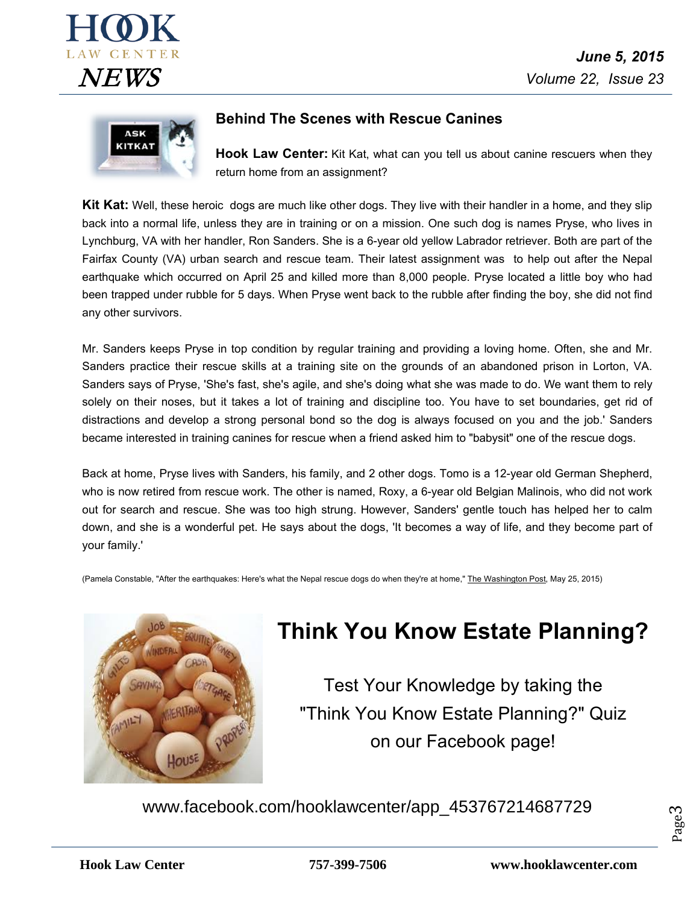



## **Behind The Scenes with Rescue Canines**

**Hook Law Center:** Kit Kat, what can you tell us about canine rescuers when they return home from an assignment?

**Kit Kat:** Well, these heroic dogs are much like other dogs. They live with their handler in a home, and they slip back into a normal life, unless they are in training or on a mission. One such dog is names Pryse, who lives in Lynchburg, VA with her handler, Ron Sanders. She is a 6-year old yellow Labrador retriever. Both are part of the Fairfax County (VA) urban search and rescue team. Their latest assignment was to help out after the Nepal earthquake which occurred on April 25 and killed more than 8,000 people. Pryse located a little boy who had been trapped under rubble for 5 days. When Pryse went back to the rubble after finding the boy, she did not find any other survivors.

Mr. Sanders keeps Pryse in top condition by regular training and providing a loving home. Often, she and Mr. Sanders practice their rescue skills at a training site on the grounds of an abandoned prison in Lorton, VA. Sanders says of Pryse, 'She's fast, she's agile, and she's doing what she was made to do. We want them to rely solely on their noses, but it takes a lot of training and discipline too. You have to set boundaries, get rid of distractions and develop a strong personal bond so the dog is always focused on you and the job.' Sanders became interested in training canines for rescue when a friend asked him to "babysit" one of the rescue dogs.

Back at home, Pryse lives with Sanders, his family, and 2 other dogs. Tomo is a 12-year old German Shepherd, who is now retired from rescue work. The other is named, Roxy, a 6-year old Belgian Malinois, who did not work out for search and rescue. She was too high strung. However, Sanders' gentle touch has helped her to calm down, and she is a wonderful pet. He says about the dogs, 'It becomes a way of life, and they become part of your family.'

(Pamela Constable, "After the earthquakes: Here's what the Nepal rescue dogs do when they're at home," The Washington Post, May 25, 2015)



# **Think You Know Estate Planning?**

Test Your Knowledge by taking the "Think You Know Estate Planning?" Quiz on our Facebook page!

www.facebook.com/hooklawcenter/app\_453767214687729